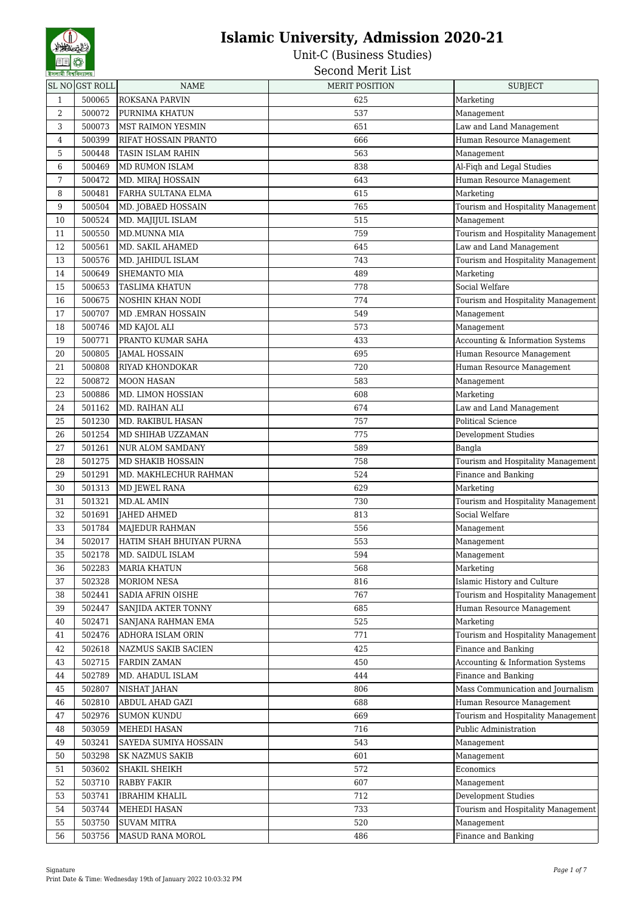Unit-C (Business Studies)

Second Merit List

|                | SL NO GST ROLL | <b>NAME</b>              | <b>MERIT POSITION</b> | <b>SUBJECT</b>                     |
|----------------|----------------|--------------------------|-----------------------|------------------------------------|
| $\mathbf{1}$   | 500065         | ROKSANA PARVIN           | 625                   | Marketing                          |
| $\overline{2}$ | 500072         | PURNIMA KHATUN           | 537                   | Management                         |
| 3              | 500073         | <b>MST RAIMON YESMIN</b> | 651                   | Law and Land Management            |
| $\,4$          | 500399         | RIFAT HOSSAIN PRANTO     | 666                   | Human Resource Management          |
| 5              | 500448         | <b>TASIN ISLAM RAHIN</b> | 563                   | Management                         |
| 6              | 500469         | MD RUMON ISLAM           | 838                   | Al-Fiqh and Legal Studies          |
| 7              | 500472         | MD. MIRAJ HOSSAIN        | 643                   | Human Resource Management          |
| 8              | 500481         | FARHA SULTANA ELMA       | 615                   | Marketing                          |
| 9              | 500504         | MD. JOBAED HOSSAIN       | 765                   | Tourism and Hospitality Management |
| 10             | 500524         | MD. MAJIJUL ISLAM        | 515                   | Management                         |
| 11             | 500550         | MD.MUNNA MIA             | 759                   | Tourism and Hospitality Management |
| 12             | 500561         | MD. SAKIL AHAMED         | 645                   | Law and Land Management            |
| 13             | 500576         | MD. JAHIDUL ISLAM        | 743                   | Tourism and Hospitality Management |
| 14             | 500649         | SHEMANTO MIA             | 489                   | Marketing                          |
| 15             | 500653         | <b>TASLIMA KHATUN</b>    | 778                   | Social Welfare                     |
| 16             | 500675         | <b>NOSHIN KHAN NODI</b>  | 774                   | Tourism and Hospitality Management |
| 17             | 500707         | MD .EMRAN HOSSAIN        | 549                   | Management                         |
| 18             | 500746         | MD KAJOL ALI             | 573                   | Management                         |
| 19             | 500771         | PRANTO KUMAR SAHA        | 433                   | Accounting & Information Systems   |
| 20             | 500805         | <b>JAMAL HOSSAIN</b>     | 695                   | Human Resource Management          |
| 21             | 500808         | RIYAD KHONDOKAR          | 720                   | Human Resource Management          |
| 22             | 500872         | <b>MOON HASAN</b>        | 583                   | Management                         |
| 23             | 500886         | MD. LIMON HOSSIAN        | 608                   | Marketing                          |
| 24             | 501162         | MD. RAIHAN ALI           | 674                   | Law and Land Management            |
| 25             | 501230         | MD. RAKIBUL HASAN        | 757                   | Political Science                  |
| 26             | 501254         | MD SHIHAB UZZAMAN        | 775                   | Development Studies                |
| 27             | 501261         | <b>NUR ALOM SAMDANY</b>  | 589                   | Bangla                             |
| 28             | 501275         | MD SHAKIB HOSSAIN        | 758                   | Tourism and Hospitality Management |
| 29             | 501291         | MD. MAKHLECHUR RAHMAN    | 524                   | Finance and Banking                |
| 30             | 501313         | MD JEWEL RANA            | 629                   | Marketing                          |
| 31             | 501321         | <b>MD.AL AMIN</b>        | 730                   | Tourism and Hospitality Management |
| 32             | 501691         | <b>JAHED AHMED</b>       | 813                   | Social Welfare                     |
| 33             | 501784         | MAJEDUR RAHMAN           | 556                   | Management                         |
| 34             | 502017         | HATIM SHAH BHUIYAN PURNA | 553                   | Management                         |
| 35             | 502178         | MD. SAIDUL ISLAM         | 594                   | Management                         |
| 36             | 502283         | <b>MARIA KHATUN</b>      | 568                   | Marketing                          |
| 37             | 502328         | MORIOM NESA              | 816                   | Islamic History and Culture        |
| 38             | 502441         | <b>SADIA AFRIN OISHE</b> | 767                   | Tourism and Hospitality Management |
| 39             | 502447         | SANJIDA AKTER TONNY      | 685                   | Human Resource Management          |
| 40             | 502471         | SANJANA RAHMAN EMA       | 525                   | Marketing                          |
| 41             | 502476         | ADHORA ISLAM ORIN        | 771                   | Tourism and Hospitality Management |
| 42             | 502618         | NAZMUS SAKIB SACIEN      | 425                   | Finance and Banking                |
| 43             | 502715         | <b>FARDIN ZAMAN</b>      | 450                   | Accounting & Information Systems   |
| 44             | 502789         | MD. AHADUL ISLAM         | 444                   | Finance and Banking                |
| 45             | 502807         | NISHAT JAHAN             | 806                   | Mass Communication and Journalism  |
| 46             | 502810         | ABDUL AHAD GAZI          | 688                   | Human Resource Management          |
| 47             | 502976         | <b>SUMON KUNDU</b>       | 669                   | Tourism and Hospitality Management |
| 48             | 503059         | MEHEDI HASAN             | 716                   | Public Administration              |
| 49             | 503241         | SAYEDA SUMIYA HOSSAIN    | 543                   | Management                         |
| 50             | 503298         | <b>SK NAZMUS SAKIB</b>   | 601                   | Management                         |
| 51             | 503602         | SHAKIL SHEIKH            | 572                   | Economics                          |
| 52             | 503710         | RABBY FAKIR              | 607                   | Management                         |
| 53             | 503741         | <b>IBRAHIM KHALIL</b>    | 712                   | Development Studies                |
| 54             | 503744         | MEHEDI HASAN             | 733                   | Tourism and Hospitality Management |
| 55             | 503750         | <b>SUVAM MITRA</b>       | 520                   | Management                         |
| 56             | 503756         | MASUD RANA MOROL         | 486                   | Finance and Banking                |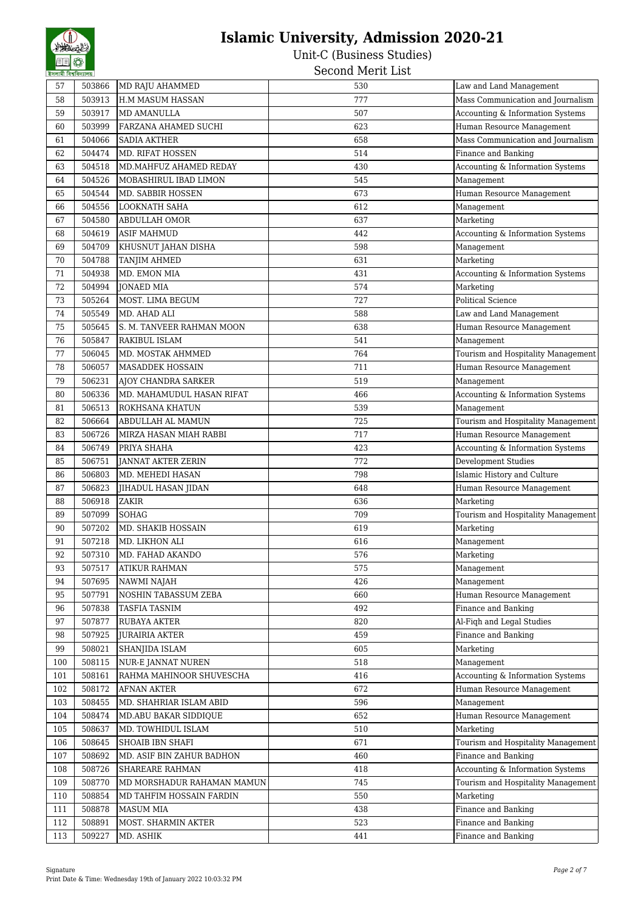Unit-C (Business Studies) Second Merit List

57 503866 MD RAJU AHAMMED 530 Law and Land Management 58 503913 H.M MASUM HASSAN 777 Mass Communication and Journalism 59 503917 MD AMANULLA 507 Accounting & Information Systems 60 503999 FARZANA AHAMED SUCHI 623 Human Resource Management 61 504066 SADIA AKTHER 658 Mass Communication and Journalism 62 504474 MD. RIFAT HOSSEN 514 504474 MD. RIFAT HOSSEN 63 504518 MD.MAHFUZ AHAMED REDAY 230 430 Accounting & Information Systems 64 504526 MOBASHIRUL IBAD LIMON 545 Management 65 504544 MD. SABBIR HOSSEN 673 Human Resource Management 66 504556 LOOKNATH SAHA 612 Management 67 504580 ABDULLAH OMOR 637 Marketing 68 504619 ASIF MAHMUD 442 Accounting & Information Systems 69 504709 KHUSNUT JAHAN DISHA 598 Management 70 504788 TANJIM AHMED 631 Marketing 71 | 504938 |MD. EMON MIA |  $\overline{431}$  |  $\overline{431}$  |  $\overline{431}$  |  $\overline{431}$  |  $\overline{431}$  |  $\overline{431}$  |  $\overline{431}$  |  $\overline{431}$  |  $\overline{431}$  |  $\overline{431}$  |  $\overline{431}$  |  $\overline{431}$  |  $\overline{431}$  |  $\overline{431}$  |  $\overline{431}$  | 72 504994 JONAED MIA 574 Marketing 73 505264 MOST. LIMA BEGUM 727 Political Science 74 505549 MD. AHAD ALI 588 Law and Land Management 75 505645 S. M. TANVEER RAHMAN MOON 638 Human Resource Management 76 505847 RAKIBUL ISLAM 541 Management 77 506045 MD. MOSTAK AHMMED 764 Tourism and Hospitality Management 78 | 506057 | MASADDEK HOSSAIN | 1999 | 120 | 120 | 120 | 120 | 130 | 140 | 150 | 160 | 171 | 171 | 171 | 171 | 171 | 171 | 171 | 171 | 171 | 171 | 171 | 171 | 171 | 171 | 171 | 171 | 171 | 171 | 171 | 171 | 171 | 171 | 17 79 | 506231 | AJOY CHANDRA SARKER | 519 | 506231 | Management 80 | 506336 |MD. MAHAMUDUL HASAN RIFAT | 466 | Accounting & Information Systems 81 506513 ROKHSANA KHATUN 539 Management 82 506664 ABDULLAH AL MAMUN 725 725 Tourism and Hospitality Management 83 506726 MIRZA HASAN MIAH RABBI 717 Human Resource Management 84 | 506749 PRIYA SHAHA |  $423$  |  $36749$  |  $423$  |  $423$  |  $423$  |  $423$  |  $423$  |  $423$  |  $423$  |  $423$  |  $423$  |  $423$  |  $423$  |  $423$  |  $423$  |  $423$  |  $423$  |  $423$  |  $423$  |  $423$  |  $423$  |  $423$  |  $423$  |  $423$  |  $4$ 85 506751 JANNAT AKTER ZERIN 772 Development Studies 86 | 506803 |MD. MEHEDI HASAN 1988 | 1998 | 151amic History and Culture 87 506823 JIHADUL HASAN JIDAN 648 Human Resource Management 88 506918 ZAKIR 636 Marketing 89 507099 SOHAG 709 709 Tourism and Hospitality Management 90 | 507202 |MD. SHAKIB HOSSAIN 619 619 | Marketing 91 507218 MD. LIKHON ALI 616 616 Management 92 507310 MD. FAHAD AKANDO 576 507310 Marketing 93 575 Management 94 507695 NAWMI NAJAH 426 Management 95 507791 NOSHIN TABASSUM ZEBA 660 Human Resource Management 96 507838 TASFIA TASNIM **1988** TAST 1898 1998 1999 492 Finance and Banking 97 | 507877 | RUBAYA AKTER | 1990 | 1991 | 1992 | 1993 | 1993 | 1994 | 1994 | 1995 | 1996 | 1997 | 1998 | 199 98 507925 JURAIRIA AKTER 1988 1998 459 459 Finance and Banking 99 508021 SHANJIDA ISLAM 605 Marketing 100 508115 NUR-E JANNAT NUREN 518 518 Management 101 508161 RAHMA MAHINOOR SHUVESCHA 416 416 Accounting & Information Systems 102 508172 AFNAN AKTER 672 Human Resource Management 103 508455 MD. SHAHRIAR ISLAM ABID 596 Management 104 508474 MD.ABU BAKAR SIDDIQUE 652 Human Resource Management 105 508637 MD. TOWHIDUL ISLAM 510 508637 MD. TOWHIDUL ISLAM 106 508645 SHOAIB IBN SHAFI 671 Tourism and Hospitality Management 107 | 508692 | MD. ASIF BIN ZAHUR BADHON | 460 460 Finance and Banking 108 508726 SHAREARE RAHMAN 418 Accounting & Information Systems 109 508770 MD MORSHADUR RAHAMAN MAMUN 745 Tourism and Hospitality Management 110 508854 MD TAHFIM HOSSAIN FARDIN 10 550 Marketing 111 508878 MASUM MIA **438** Finance and Banking 112 508891 MOST. SHARMIN AKTER 523 Finance and Banking 113 509227 MD. ASHIK 441 Finance and Banking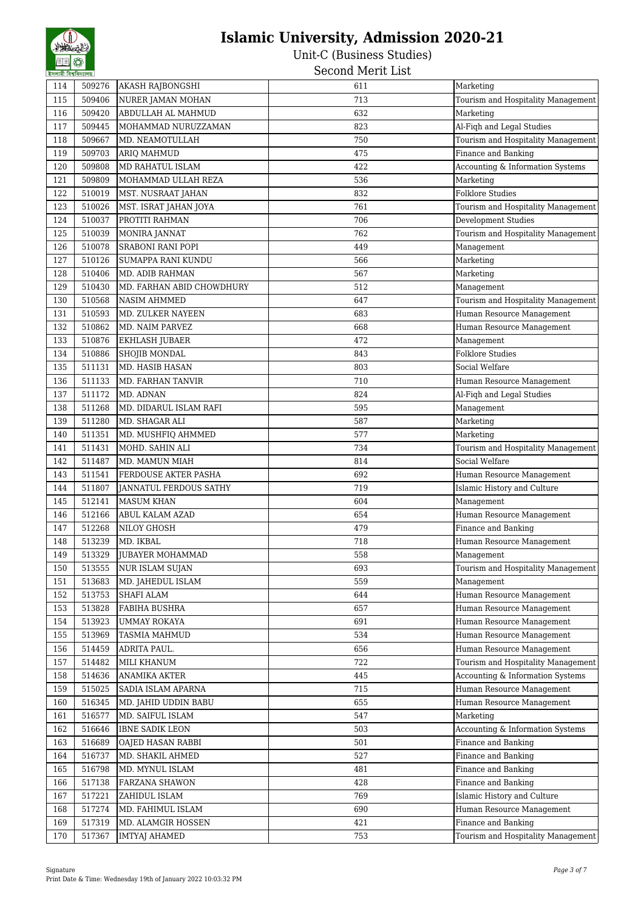| 114 | 509276 | AKASH RAJBONGSHI          | 611 | Marketing                          |
|-----|--------|---------------------------|-----|------------------------------------|
| 115 | 509406 | NURER JAMAN MOHAN         | 713 | Tourism and Hospitality Management |
| 116 | 509420 | ABDULLAH AL MAHMUD        | 632 | Marketing                          |
| 117 | 509445 | MOHAMMAD NURUZZAMAN       | 823 | Al-Fiqh and Legal Studies          |
| 118 | 509667 | MD. NEAMOTULLAH           | 750 | Tourism and Hospitality Management |
| 119 | 509703 | ARIO MAHMUD               | 475 | Finance and Banking                |
| 120 | 509808 | MD RAHATUL ISLAM          | 422 | Accounting & Information Systems   |
| 121 | 509809 | MOHAMMAD ULLAH REZA       | 536 | Marketing                          |
| 122 | 510019 | MST. NUSRAAT JAHAN        | 832 | <b>Folklore Studies</b>            |
| 123 | 510026 | MST. ISRAT JAHAN JOYA     | 761 | Tourism and Hospitality Management |
| 124 | 510037 | PROTITI RAHMAN            | 706 | Development Studies                |
| 125 | 510039 | MONIRA JANNAT             | 762 | Tourism and Hospitality Management |
| 126 | 510078 | <b>SRABONI RANI POPI</b>  | 449 | Management                         |
| 127 | 510126 | SUMAPPA RANI KUNDU        | 566 | Marketing                          |
| 128 | 510406 | MD. ADIB RAHMAN           | 567 | Marketing                          |
| 129 | 510430 | MD. FARHAN ABID CHOWDHURY | 512 | Management                         |
| 130 | 510568 | <b>NASIM AHMMED</b>       | 647 | Tourism and Hospitality Management |
| 131 | 510593 | MD. ZULKER NAYEEN         | 683 | Human Resource Management          |
| 132 | 510862 | MD. NAIM PARVEZ           | 668 | Human Resource Management          |
| 133 | 510876 | EKHLASH JUBAER            | 472 | Management                         |
| 134 | 510886 | SHOJIB MONDAL             | 843 | <b>Folklore Studies</b>            |
| 135 | 511131 | MD. HASIB HASAN           | 803 | Social Welfare                     |
| 136 | 511133 | MD. FARHAN TANVIR         | 710 | Human Resource Management          |
| 137 | 511172 | MD. ADNAN                 | 824 | Al-Fiqh and Legal Studies          |
| 138 | 511268 | MD. DIDARUL ISLAM RAFI    | 595 | Management                         |
| 139 | 511280 | MD. SHAGAR ALI            | 587 | Marketing                          |
| 140 | 511351 | MD. MUSHFIQ AHMMED        | 577 | Marketing                          |
| 141 | 511431 | MOHD. SAHIN ALI           | 734 | Tourism and Hospitality Management |
| 142 | 511487 | MD. MAMUN MIAH            | 814 | Social Welfare                     |
| 143 | 511541 | FERDOUSE AKTER PASHA      | 692 | Human Resource Management          |
| 144 | 511807 | JANNATUL FERDOUS SATHY    | 719 | Islamic History and Culture        |
| 145 | 512141 | <b>MASUM KHAN</b>         | 604 | Management                         |
| 146 | 512166 | ABUL KALAM AZAD           | 654 | Human Resource Management          |
| 147 | 512268 | NILOY GHOSH               | 479 | Finance and Banking                |
| 148 | 513239 | MD. IKBAL                 | 718 | Human Resource Management          |
| 149 | 513329 | <b>JUBAYER MOHAMMAD</b>   | 558 | Management                         |
| 150 | 513555 | NUR ISLAM SUJAN           | 693 | Tourism and Hospitality Management |
| 151 | 513683 | MD. JAHEDUL ISLAM         | 559 | Management                         |
| 152 | 513753 | SHAFI ALAM                | 644 | Human Resource Management          |
| 153 | 513828 | FABIHA BUSHRA             | 657 | Human Resource Management          |
| 154 | 513923 | <b>UMMAY ROKAYA</b>       | 691 | Human Resource Management          |
| 155 | 513969 | TASMIA MAHMUD             | 534 | Human Resource Management          |
| 156 | 514459 | ADRITA PAUL.              | 656 | Human Resource Management          |
| 157 | 514482 | MILI KHANUM               | 722 | Tourism and Hospitality Management |
| 158 | 514636 | ANAMIKA AKTER             | 445 | Accounting & Information Systems   |
| 159 | 515025 | SADIA ISLAM APARNA        | 715 | Human Resource Management          |
| 160 | 516345 | MD. JAHID UDDIN BABU      | 655 | Human Resource Management          |
| 161 | 516577 | MD. SAIFUL ISLAM          | 547 | Marketing                          |
| 162 | 516646 | IBNE SADIK LEON           | 503 | Accounting & Information Systems   |
| 163 | 516689 | OAJED HASAN RABBI         | 501 | Finance and Banking                |
| 164 | 516737 | MD. SHAKIL AHMED          | 527 | Finance and Banking                |
| 165 | 516798 | MD. MYNUL ISLAM           | 481 | Finance and Banking                |
| 166 | 517138 | FARZANA SHAWON            | 428 | Finance and Banking                |
| 167 | 517221 | ZAHIDUL ISLAM             | 769 | Islamic History and Culture        |
| 168 | 517274 | MD. FAHIMUL ISLAM         | 690 | Human Resource Management          |
| 169 | 517319 | MD. ALAMGIR HOSSEN        | 421 | Finance and Banking                |
| 170 | 517367 | <b>IMTYAJ AHAMED</b>      | 753 | Tourism and Hospitality Management |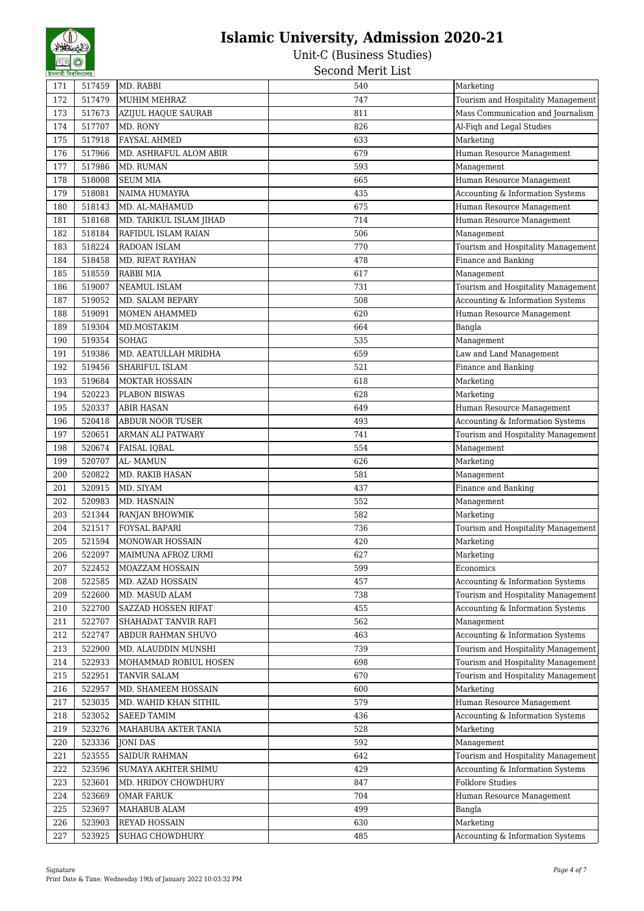| 171        | 517459           | MD. RABBI                        | 540        | Marketing                          |
|------------|------------------|----------------------------------|------------|------------------------------------|
| 172        | 517479           | MUHIM MEHRAZ                     | 747        | Tourism and Hospitality Management |
| 173        | 517673           | AZIJUL HAQUE SAURAB              | 811        | Mass Communication and Journalism  |
| 174        | 517707           | MD. RONY                         | 826        | Al-Fiqh and Legal Studies          |
| 175        | 517918           | <b>FAYSAL AHMED</b>              | 633        | Marketing                          |
| 176        | 517966           | MD. ASHRAFUL ALOM ABIR           | 679        | Human Resource Management          |
| 177        | 517986           | MD. RUMAN                        | 593        | Management                         |
| 178        | 518008           | <b>SEUM MIA</b>                  | 665        | Human Resource Management          |
| 179        | 518081           | <b>NAIMA HUMAYRA</b>             | 435        | Accounting & Information Systems   |
| 180        | 518143           | MD. AL-MAHAMUD                   | 675        | Human Resource Management          |
| 181        | 518168           | MD. TARIKUL ISLAM JIHAD          | 714        | Human Resource Management          |
| 182        | 518184           | RAFIDUL ISLAM RAIAN              | 506        | Management                         |
| 183        | 518224           | RADOAN ISLAM                     | 770        | Tourism and Hospitality Management |
| 184        | 518458           | MD. RIFAT RAYHAN                 | 478        | Finance and Banking                |
| 185        | 518559           | RABBI MIA                        | 617        | Management                         |
| 186        | 519007           | NEAMUL ISLAM                     | 731        | Tourism and Hospitality Management |
| 187        | 519052           | MD. SALAM BEPARY                 | 508        | Accounting & Information Systems   |
| 188        | 519091           | MOMEN AHAMMED                    | 620        | Human Resource Management          |
| 189        | 519304           | MD.MOSTAKIM                      | 664        | Bangla                             |
| 190        | 519354           | SOHAG                            | 535        | Management                         |
| 191        | 519386           | MD. AEATULLAH MRIDHA             | 659        | Law and Land Management            |
| 192        | 519456           | <b>SHARIFUL ISLAM</b>            | 521        | Finance and Banking                |
| 193        | 519684           | <b>MOKTAR HOSSAIN</b>            | 618        | Marketing                          |
| 194        | 520223           | PLABON BISWAS                    | 628        | Marketing                          |
| 195        | 520337           | <b>ABIR HASAN</b>                | 649        | Human Resource Management          |
| 196        | 520418           | <b>ABDUR NOOR TUSER</b>          | 493        | Accounting & Information Systems   |
| 197        | 520651           | ARMAN ALI PATWARY                | 741        | Tourism and Hospitality Management |
| 198        | 520674           | <b>FAISAL IQBAL</b>              | 554        | Management                         |
| 199        | 520707           | AL-MAMUN                         | 626        | Marketing                          |
| 200        | 520822           | MD. RAKIB HASAN                  | 581        | Management                         |
| 201        | 520915           | MD. SIYAM                        | 437        | Finance and Banking                |
| 202        | 520983           | MD. HASNAIN                      | 552        | Management                         |
| 203        | 521344           | RANJAN BHOWMIK                   | 582        | Marketing                          |
| 204        | 521517           | <b>FOYSAL BAPARI</b>             | 736        | Tourism and Hospitality Management |
| 205        | 521594           | <b>MONOWAR HOSSAIN</b>           | 420        | Marketing                          |
| 206        | 522097           | MAIMUNA AFROZ URMI               | 627        | Marketing                          |
| 207        | 522452           | MOAZZAM HOSSAIN                  | 599        | Economics                          |
| 208        | 522585           | MD. AZAD HOSSAIN                 | 457        | Accounting & Information Systems   |
| 209        | 522600           | MD. MASUD ALAM                   | 738        | Tourism and Hospitality Management |
| 210        | 522700           | SAZZAD HOSSEN RIFAT              | 455        | Accounting & Information Systems   |
| 211        | 522707           | SHAHADAT TANVIR RAFI             | 562        | Management                         |
| 212        | 522747           | ABDUR RAHMAN SHUVO               | 463        | Accounting & Information Systems   |
| 213        | 522900           | MD. ALAUDDIN MUNSHI              | 739        | Tourism and Hospitality Management |
| 214        | 522933           | MOHAMMAD ROBIUL HOSEN            | 698        | Tourism and Hospitality Management |
| 215        | 522951           | TANVIR SALAM                     | 670        | Tourism and Hospitality Management |
| 216        | 522957           | MD. SHAMEEM HOSSAIN              | 600        | Marketing                          |
| 217        | 523035           | MD. WAHID KHAN SITHIL            | 579        | Human Resource Management          |
| 218        | 523052           | <b>SAEED TAMIM</b>               | 436        | Accounting & Information Systems   |
|            |                  |                                  |            |                                    |
| 219<br>220 | 523276<br>523336 | MAHABUBA AKTER TANIA<br>JONI DAS | 528<br>592 | Marketing                          |
|            | 523555           |                                  | 642        | Management                         |
| 221        |                  | <b>SAIDUR RAHMAN</b>             |            | Tourism and Hospitality Management |
| 222        | 523596           | SUMAYA AKHTER SHIMU              | 429        | Accounting & Information Systems   |
| 223        | 523601           | MD. HRIDOY CHOWDHURY             | 847        | <b>Folklore Studies</b>            |
| 224        | 523669           | <b>OMAR FARUK</b>                | 704        | Human Resource Management          |
| 225        | 523697           | MAHABUB ALAM                     | 499        | Bangla                             |
| 226        | 523903           | REYAD HOSSAIN                    | 630        | Marketing                          |
| 227        | 523925           | <b>SUHAG CHOWDHURY</b>           | 485        | Accounting & Information Systems   |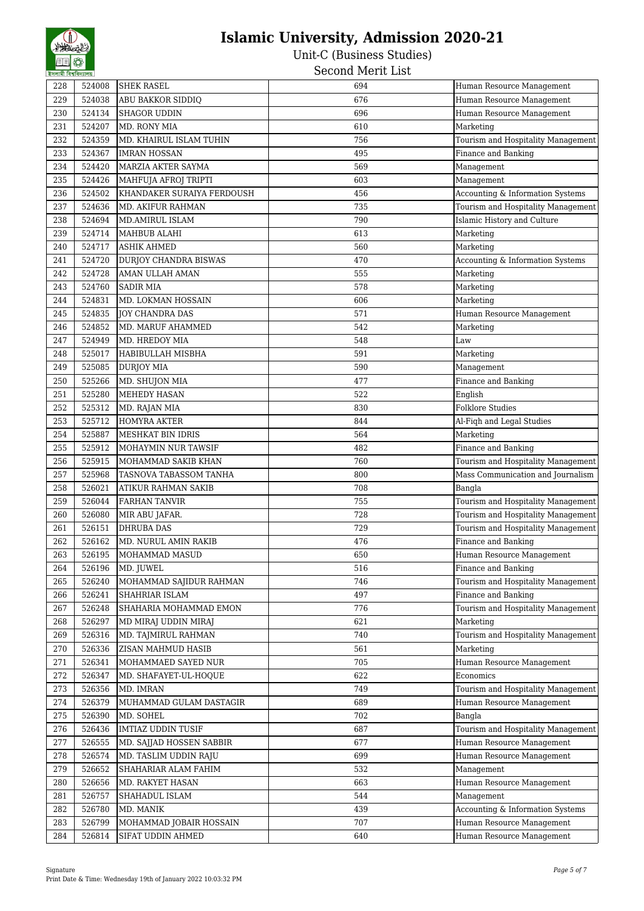| 228 | 524008 | <b>SHEK RASEL</b>          | 694 | Human Resource Management          |
|-----|--------|----------------------------|-----|------------------------------------|
| 229 | 524038 | ABU BAKKOR SIDDIQ          | 676 | Human Resource Management          |
| 230 | 524134 | SHAGOR UDDIN               | 696 | Human Resource Management          |
| 231 | 524207 | MD. RONY MIA               | 610 | Marketing                          |
| 232 | 524359 | MD. KHAIRUL ISLAM TUHIN    | 756 | Tourism and Hospitality Management |
| 233 | 524367 | <b>IMRAN HOSSAN</b>        | 495 | Finance and Banking                |
| 234 | 524420 | MARZIA AKTER SAYMA         | 569 | Management                         |
| 235 | 524426 | MAHFUJA AFROJ TRIPTI       | 603 | Management                         |
| 236 | 524502 | KHANDAKER SURAIYA FERDOUSH | 456 | Accounting & Information Systems   |
| 237 | 524636 | MD. AKIFUR RAHMAN          | 735 | Tourism and Hospitality Management |
| 238 | 524694 | MD.AMIRUL ISLAM            | 790 | Islamic History and Culture        |
| 239 | 524714 | MAHBUB ALAHI               | 613 | Marketing                          |
| 240 | 524717 | <b>ASHIK AHMED</b>         | 560 | Marketing                          |
| 241 | 524720 | DURJOY CHANDRA BISWAS      | 470 | Accounting & Information Systems   |
| 242 | 524728 | AMAN ULLAH AMAN            | 555 | Marketing                          |
| 243 | 524760 | <b>SADIR MIA</b>           | 578 | Marketing                          |
| 244 | 524831 | MD. LOKMAN HOSSAIN         | 606 | Marketing                          |
| 245 | 524835 | JOY CHANDRA DAS            | 571 | Human Resource Management          |
| 246 |        |                            |     |                                    |
|     | 524852 | MD. MARUF AHAMMED          | 542 | Marketing                          |
| 247 | 524949 | MD. HREDOY MIA             | 548 | Law                                |
| 248 | 525017 | HABIBULLAH MISBHA          | 591 | Marketing                          |
| 249 | 525085 | <b>DURJOY MIA</b>          | 590 | Management                         |
| 250 | 525266 | MD. SHUJON MIA             | 477 | Finance and Banking                |
| 251 | 525280 | MEHEDY HASAN               | 522 | English                            |
| 252 | 525312 | MD. RAJAN MIA              | 830 | <b>Folklore Studies</b>            |
| 253 | 525712 | <b>HOMYRA AKTER</b>        | 844 | Al-Fiqh and Legal Studies          |
| 254 | 525887 | MESHKAT BIN IDRIS          | 564 | Marketing                          |
| 255 | 525912 | MOHAYMIN NUR TAWSIF        | 482 | Finance and Banking                |
| 256 | 525915 | MOHAMMAD SAKIB KHAN        | 760 | Tourism and Hospitality Management |
| 257 | 525968 | TASNOVA TABASSOM TANHA     | 800 | Mass Communication and Journalism  |
| 258 | 526021 | ATIKUR RAHMAN SAKIB        | 708 | Bangla                             |
| 259 | 526044 | <b>FARHAN TANVIR</b>       | 755 | Tourism and Hospitality Management |
| 260 | 526080 | MIR ABU JAFAR.             | 728 | Tourism and Hospitality Management |
| 261 | 526151 | <b>DHRUBA DAS</b>          | 729 | Tourism and Hospitality Management |
| 262 | 526162 | MD. NURUL AMIN RAKIB       | 476 | Finance and Banking                |
| 263 | 526195 | MOHAMMAD MASUD             | 650 | Human Resource Management          |
| 264 | 526196 | MD. JUWEL                  | 516 | Finance and Banking                |
| 265 | 526240 | MOHAMMAD SAJIDUR RAHMAN    | 746 | Tourism and Hospitality Management |
| 266 | 526241 | SHAHRIAR ISLAM             | 497 | Finance and Banking                |
| 267 | 526248 | SHAHARIA MOHAMMAD EMON     | 776 | Tourism and Hospitality Management |
| 268 | 526297 | MD MIRAJ UDDIN MIRAJ       | 621 | Marketing                          |
| 269 | 526316 | MD. TAJMIRUL RAHMAN        | 740 | Tourism and Hospitality Management |
| 270 | 526336 | ZISAN MAHMUD HASIB         | 561 | Marketing                          |
| 271 | 526341 | MOHAMMAED SAYED NUR        | 705 | Human Resource Management          |
| 272 | 526347 | MD. SHAFAYET-UL-HOQUE      | 622 | Economics                          |
| 273 | 526356 | MD. IMRAN                  | 749 | Tourism and Hospitality Management |
| 274 | 526379 | MUHAMMAD GULAM DASTAGIR    | 689 | Human Resource Management          |
| 275 | 526390 | MD. SOHEL                  | 702 | Bangla                             |
| 276 | 526436 | <b>IMTIAZ UDDIN TUSIF</b>  | 687 | Tourism and Hospitality Management |
| 277 | 526555 | MD. SAJJAD HOSSEN SABBIR   | 677 | Human Resource Management          |
| 278 | 526574 | MD. TASLIM UDDIN RAJU      | 699 | Human Resource Management          |
| 279 | 526652 | SHAHARIAR ALAM FAHIM       | 532 | Management                         |
| 280 | 526656 | MD. RAKYET HASAN           | 663 | Human Resource Management          |
| 281 | 526757 | SHAHADUL ISLAM             | 544 | Management                         |
| 282 | 526780 | MD. MANIK                  | 439 | Accounting & Information Systems   |
| 283 | 526799 | MOHAMMAD JOBAIR HOSSAIN    | 707 | Human Resource Management          |
| 284 | 526814 | SIFAT UDDIN AHMED          | 640 | Human Resource Management          |
|     |        |                            |     |                                    |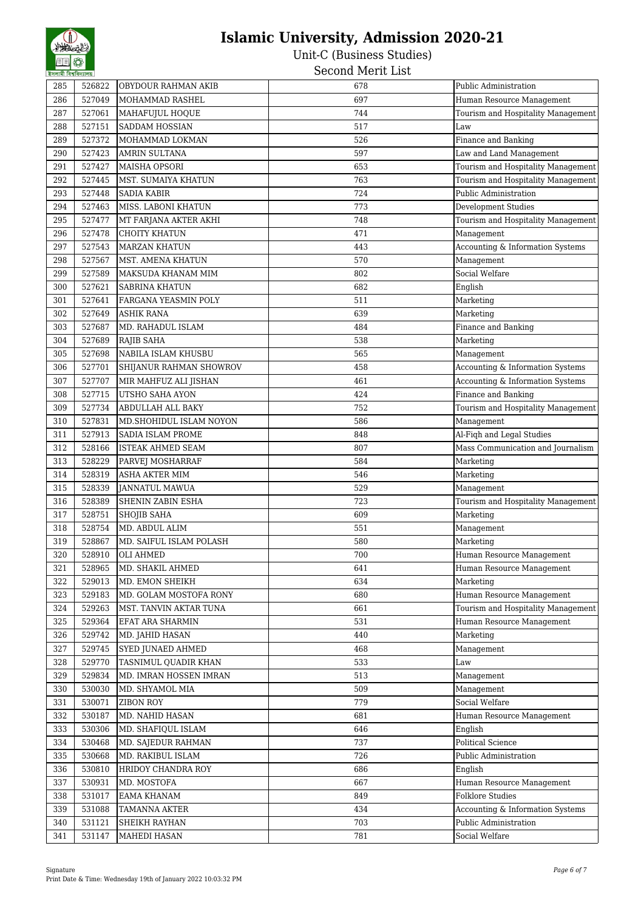Unit-C (Business Studies) Second Merit List

285 526822 OBYDOUR RAHMAN AKIB 678 Public Administration 286 527049 MOHAMMAD RASHEL 286 527049 Human Resource Management 287 527061 MAHAFUJUL HOQUE 744 Tourism and Hospitality Management 288 527151 SADDAM HOSSIAN 517 517 Law 289 527372 MOHAMMAD LOKMAN 526 526 Finance and Banking 290 527423 AMRIN SULTANA 597 Law and Land Management 291 527427 MAISHA OPSORI 653 Tourism and Hospitality Management 292 527445 MST. SUMAIYA KHATUN 1999 1999 763 Tourism and Hospitality Management 293 527448 SADIA KABIR 200 1 224 Public Administration 294 527463 MISS. LABONI KHATUN 773 Development Studies 295 527477 MT FARJANA AKTER AKHI 2007 748 Tourism and Hospitality Management 296 527478 CHOITY KHATUN 1999 1 296 471 Management 297 527543 MARZAN KHATUN 443 Accounting & Information Systems 298 527567 MST. AMENA KHATUN 1988 1999 1999 570 Management 299 527589 MAKSUDA KHANAM MIM 802 Social Welfare 300 527621 SABRINA KHATUN 682 English 301 527641 FARGANA YEASMIN POLY 511 511 Marketing 302 527649 ASHIK RANA 639 Marketing 303 527687 MD. RAHADUL ISLAM 484 Finance and Banking 304 | 527689 |RAJIB SAHA 538 | 1980 | 1980 | 1980 | 1980 | 1980 | 1980 | 1980 | 1980 | 1980 | 1980 | 1980 | 19 305 527698 NABILA ISLAM KHUSBU 565 Management 306 527701 SHIJANUR RAHMAN SHOWROV 8458 458 Accounting & Information Systems 307 527707 MIR MAHFUZ ALI JISHAN 461 461 Accounting & Information Systems 308 527715 UTSHO SAHA AYON 1999 1208 424 Finance and Banking 309 527734 ABDULLAH ALL BAKY 752 Tourism and Hospitality Management 310 527831 MD.SHOHIDUL ISLAM NOYON 586 586 Management 311 527913 SADIA ISLAM PROME 848 Al-Figh and Legal Studies 312 528166 ISTEAK AHMED SEAM 807 807 Mass Communication and Journalism 313 528229 PARVEJ MOSHARRAF 584 584 Marketing 314 528319 ASHA AKTER MIM 546 Marketing 315 528339 JANNATUL MAWUA 529 Management 316 528389 SHENIN ZABIN ESHA 723 Tourism and Hospitality Management 317 528751 SHOJIB SAHA 609 Marketing 318 528754 MD. ABDUL ALIM 551 Management 319 528867 MD. SAIFUL ISLAM POLASH 580 580 Marketing 320 528910 OLI AHMED 700 Human Resource Management 321 528965 MD. SHAKIL AHMED 641 Human Resource Management 322 529013 MD. EMON SHEIKH 634 Marketing 323 529183 MD. GOLAM MOSTOFA RONY 680 Human Resource Management 324 529263 MST. TANVIN AKTAR TUNA 661 Tourism and Hospitality Management 325 529364 EFAT ARA SHARMIN 531 Human Resource Management 326 529742 MD. JAHID HASAN 440 Marketing 327 529745 SYED JUNAED AHMED 327 468 Management 328 529770 TASNIMUL QUADIR KHAN 533 Law 329 529834 MD. IMRAN HOSSEN IMRAN 513 Management 330 530030 MD. SHYAMOL MIA 509 Management 331 530071 ZIBON ROY 779 Social Welfare 332 530187 MD. NAHID HASAN 681 Human Resource Management 333 530306 MD. SHAFIQUL ISLAM 646 English 334 530468 MD. SAJEDUR RAHMAN 737 Political Science 335 530668 MD. RAKIBUL ISLAM 726 Public Administration 336 530810 HRIDOY CHANDRA ROY 686 66 English 337 530931 MD. MOSTOFA 667 Human Resource Management 338 531017 EAMA KHANAM FOREST SAND RESERVE TO BE SERVED ASSESSED. THE STATE STATES IN STRING STATES STATES STATES STATES STATES STATES IN STRING STATES STATES STATES STATES STATES STATES STATES STATES STATES STATES STATES 339 531088 TAMANNA AKTER 434 Accounting & Information Systems 340 531121 SHEIKH RAYHAN 703 Public Administration 341 531147 MAHEDI HASAN 781 781 Social Welfare